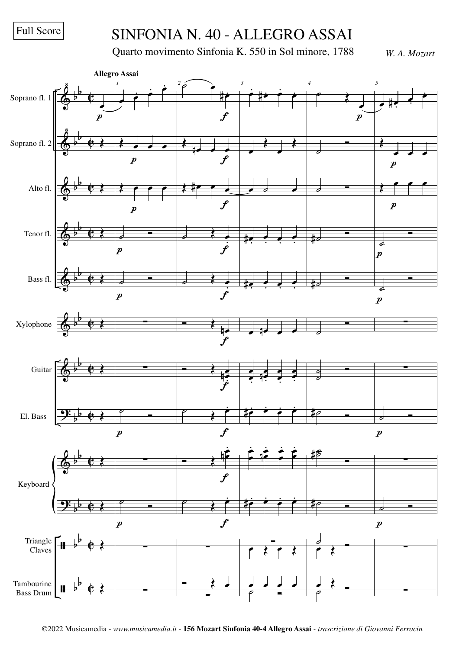## SINFONIA N. 40 - ALLEGRO ASSAI

Quarto movimento Sinfonia K. 550 in Sol minore, 1788

*W. A. Mozart*

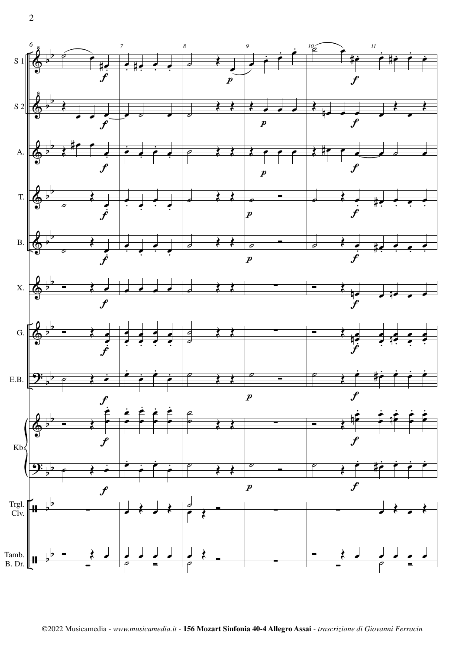

2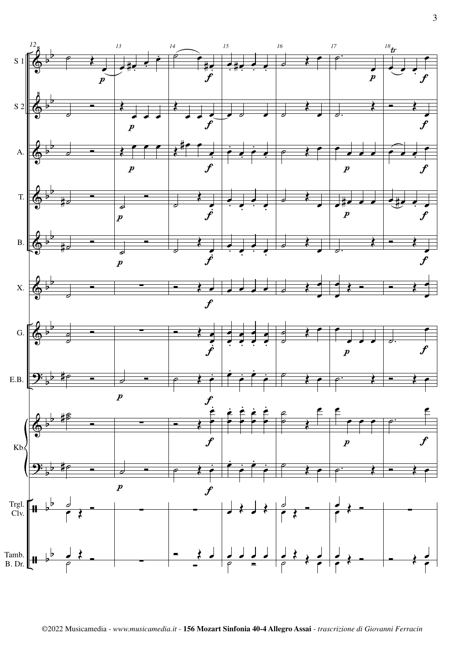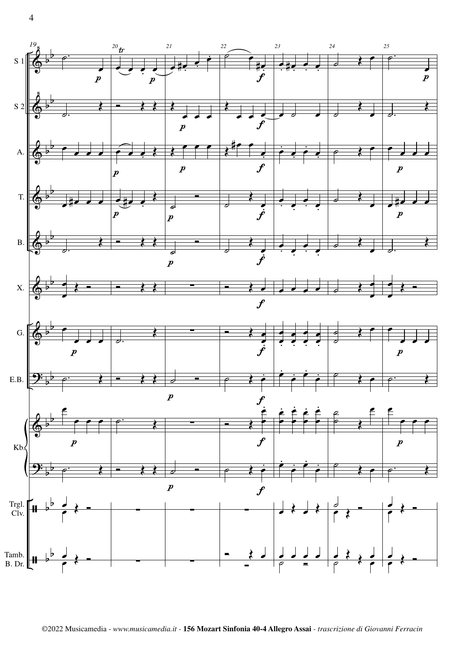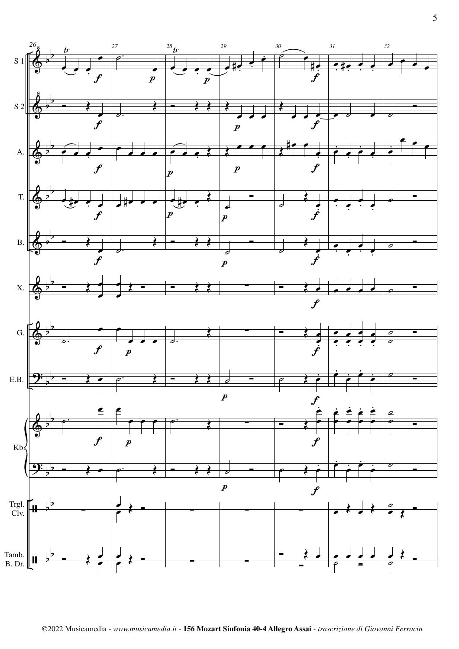